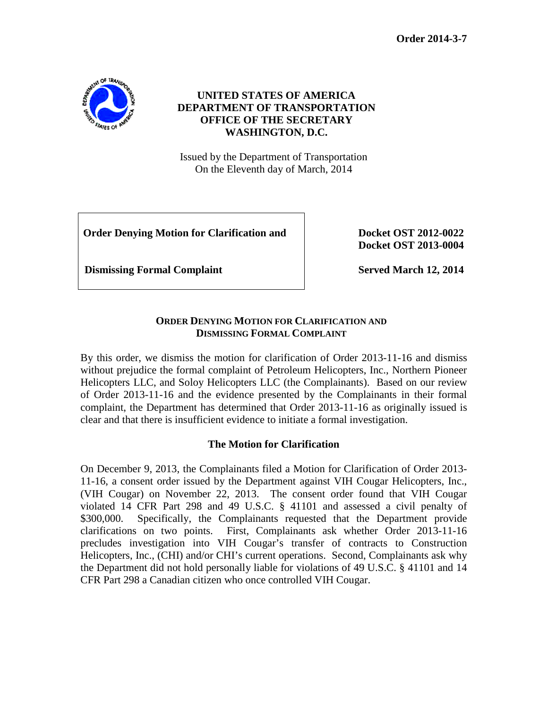**Order 2014-3-7**



# **UNITED STATES OF AMERICA DEPARTMENT OF TRANSPORTATION OFFICE OF THE SECRETARY WASHINGTON, D.C.**

Issued by the Department of Transportation On the Eleventh day of March, 2014

**Order Denying Motion for Clarification and <br>Docket OST 2012-0022** 

**Docket OST 2013-0004**

**Dismissing Formal Complaint Served March 12, 2014** 

# **ORDER DENYING MOTION FOR CLARIFICATION AND DISMISSING FORMAL COMPLAINT**

By this order, we dismiss the motion for clarification of Order 2013-11-16 and dismiss without prejudice the formal complaint of Petroleum Helicopters, Inc., Northern Pioneer Helicopters LLC, and Soloy Helicopters LLC (the Complainants). Based on our review of Order 2013-11-16 and the evidence presented by the Complainants in their formal complaint, the Department has determined that Order 2013-11-16 as originally issued is clear and that there is insufficient evidence to initiate a formal investigation.

### **The Motion for Clarification**

On December 9, 2013, the Complainants filed a Motion for Clarification of Order 2013- 11-16, a consent order issued by the Department against VIH Cougar Helicopters, Inc., (VIH Cougar) on November 22, 2013. The consent order found that VIH Cougar violated 14 CFR Part 298 and 49 U.S.C. § 41101 and assessed a civil penalty of \$300,000. Specifically, the Complainants requested that the Department provide clarifications on two points. First, Complainants ask whether Order 2013-11-16 precludes investigation into VIH Cougar's transfer of contracts to Construction Helicopters, Inc., (CHI) and/or CHI's current operations. Second, Complainants ask why the Department did not hold personally liable for violations of 49 U.S.C. § 41101 and 14 CFR Part 298 a Canadian citizen who once controlled VIH Cougar.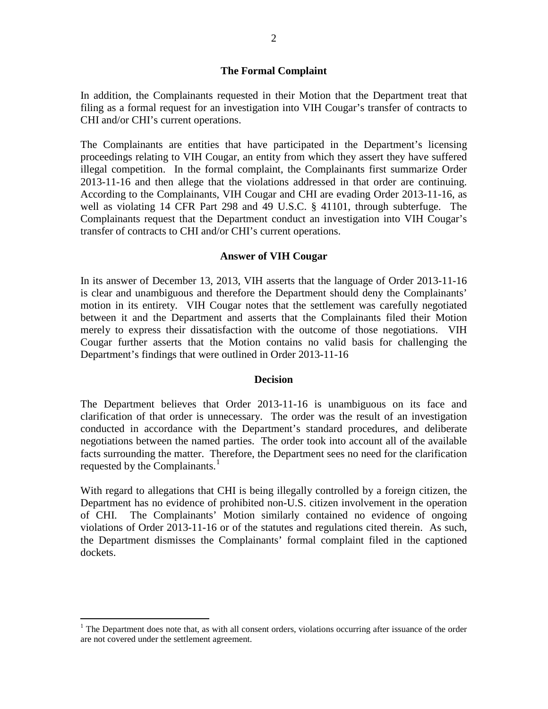#### **The Formal Complaint**

In addition, the Complainants requested in their Motion that the Department treat that filing as a formal request for an investigation into VIH Cougar's transfer of contracts to CHI and/or CHI's current operations.

The Complainants are entities that have participated in the Department's licensing proceedings relating to VIH Cougar, an entity from which they assert they have suffered illegal competition. In the formal complaint, the Complainants first summarize Order 2013-11-16 and then allege that the violations addressed in that order are continuing. According to the Complainants, VIH Cougar and CHI are evading Order 2013-11-16, as well as violating 14 CFR Part 298 and 49 U.S.C. § 41101, through subterfuge. The Complainants request that the Department conduct an investigation into VIH Cougar's transfer of contracts to CHI and/or CHI's current operations.

#### **Answer of VIH Cougar**

In its answer of December 13, 2013, VIH asserts that the language of Order 2013-11-16 is clear and unambiguous and therefore the Department should deny the Complainants' motion in its entirety. VIH Cougar notes that the settlement was carefully negotiated between it and the Department and asserts that the Complainants filed their Motion merely to express their dissatisfaction with the outcome of those negotiations. VIH Cougar further asserts that the Motion contains no valid basis for challenging the Department's findings that were outlined in Order 2013-11-16

#### **Decision**

The Department believes that Order 2013-11-16 is unambiguous on its face and clarification of that order is unnecessary. The order was the result of an investigation conducted in accordance with the Department's standard procedures, and deliberate negotiations between the named parties. The order took into account all of the available facts surrounding the matter. Therefore, the Department sees no need for the clarification requested by the Complainants.<sup>[1](#page-1-0)</sup>

With regard to allegations that CHI is being illegally controlled by a foreign citizen, the Department has no evidence of prohibited non-U.S. citizen involvement in the operation of CHI. The Complainants' Motion similarly contained no evidence of ongoing violations of Order 2013-11-16 or of the statutes and regulations cited therein. As such, the Department dismisses the Complainants' formal complaint filed in the captioned dockets.

<span id="page-1-0"></span><sup>&</sup>lt;sup>1</sup> The Department does note that, as with all consent orders, violations occurring after issuance of the order are not covered under the settlement agreement.